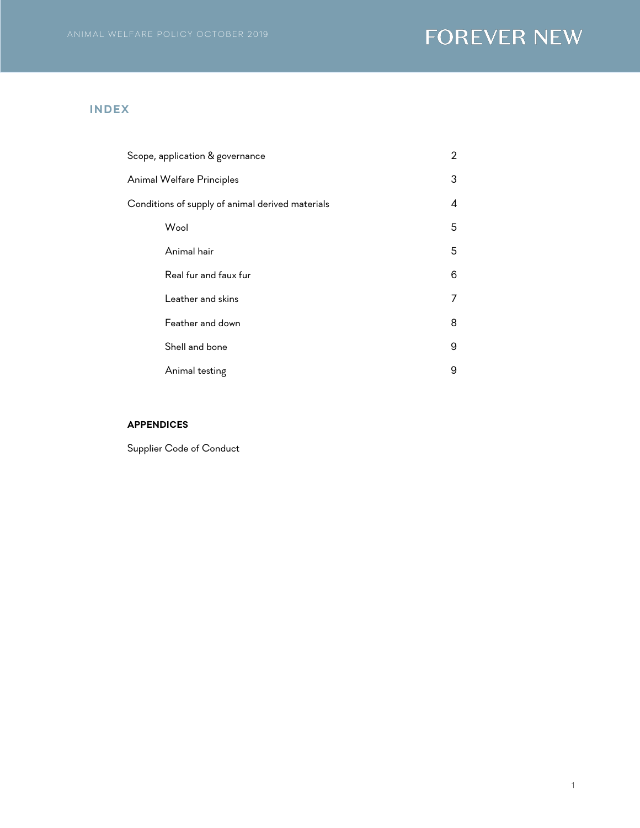## **INDEX**

| Scope, application & governance                  | 2 |
|--------------------------------------------------|---|
| Animal Welfare Principles                        | 3 |
| Conditions of supply of animal derived materials | 4 |
| Wool                                             | 5 |
| Animal hair                                      | 5 |
| Real fur and faux fur                            | 6 |
| Leather and skins                                | 7 |
| Feather and down                                 | 8 |
| Shell and bone                                   | 9 |
| Animal testing                                   | 9 |

## **APPENDICES**

Supplier Code of Conduct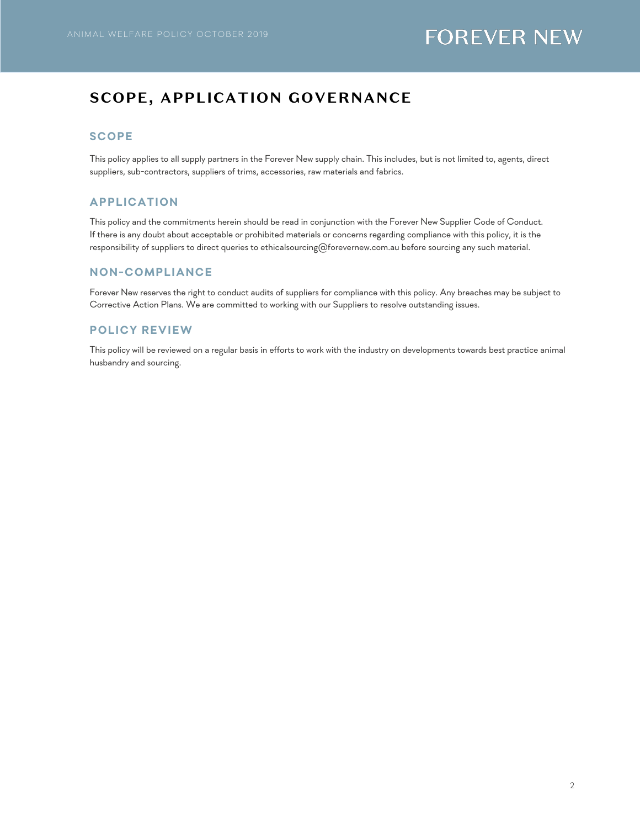# **SCOPE, APPLICATION GOVERNANCE**

### **SCOPE**

This policy applies to all supply partners in the Forever New supply chain. This includes, but is not limited to, agents, direct suppliers, sub-contractors, suppliers of trims, accessories, raw materials and fabrics.

### **APPLICATION**

This policy and the commitments herein should be read in conjunction with the Forever New Supplier Code of Conduct. If there is any doubt about acceptable or prohibited materials or concerns regarding compliance with this policy, it is the responsibility of suppliers to direct queries to ethicalsourcing@forevernew.com.au before sourcing any such material.

### **NON-COMPLIANCE**

Forever New reserves the right to conduct audits of suppliers for compliance with this policy. Any breaches may be subject to Corrective Action Plans. We are committed to working with our Suppliers to resolve outstanding issues.

### **POLICY REVIEW**

This policy will be reviewed on a regular basis in efforts to work with the industry on developments towards best practice animal husbandry and sourcing.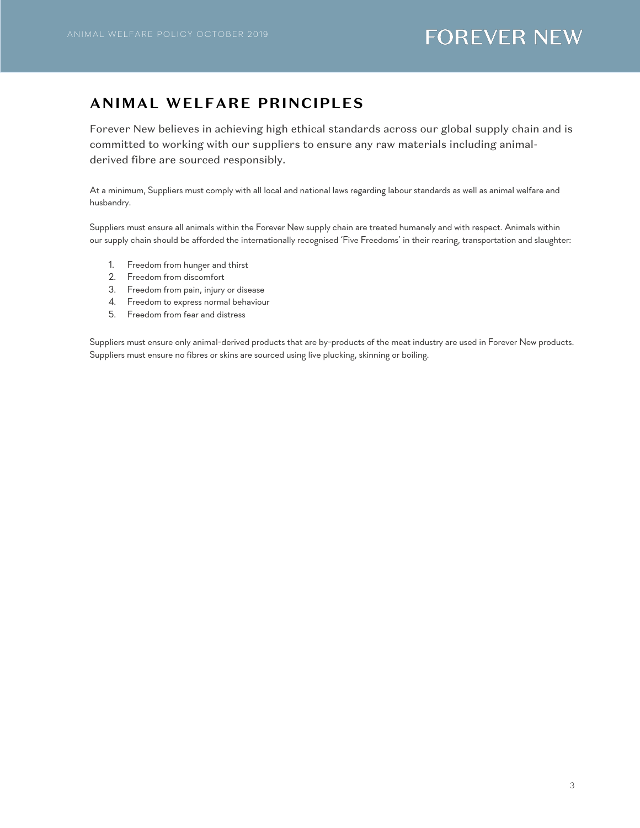# **ANIMAL WELFARE PRINCIPLES**

Forever New believes in achieving high ethical standards across our global supply chain and is committed to working with our suppliers to ensure any raw materials including animalderived fibre are sourced responsibly.

At a minimum, Suppliers must comply with all local and national laws regarding labour standards as well as animal welfare and husbandry.

Suppliers must ensure all animals within the Forever New supply chain are treated humanely and with respect. Animals within our supply chain should be afforded the internationally recognised 'Five Freedoms' in their rearing, transportation and slaughter:

- 1. Freedom from hunger and thirst
- 2. Freedom from discomfort
- 3. Freedom from pain, injury or disease
- 4. Freedom to express normal behaviour
- 5. Freedom from fear and distress

Suppliers must ensure only animal-derived products that are by-products of the meat industry are used in Forever New products. Suppliers must ensure no fibres or skins are sourced using live plucking, skinning or boiling.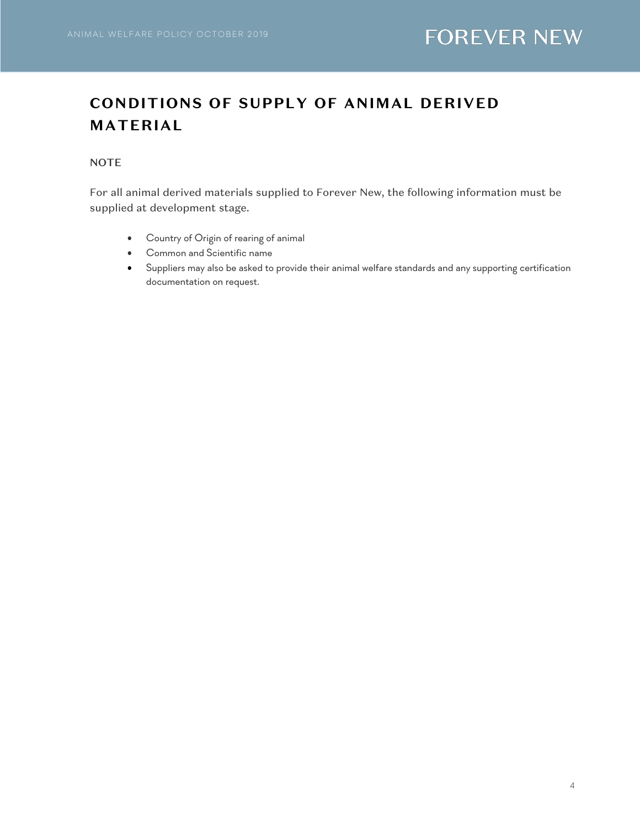# **CONDITIONS OF SUPPLY OF ANIMAL DERIVED MATERIAL**

# **NOTE**

For all animal derived materials supplied to Forever New, the following information must be supplied at development stage.

- Country of Origin of rearing of animal
- Common and Scientific name
- Suppliers may also be asked to provide their animal welfare standards and any supporting certification documentation on request.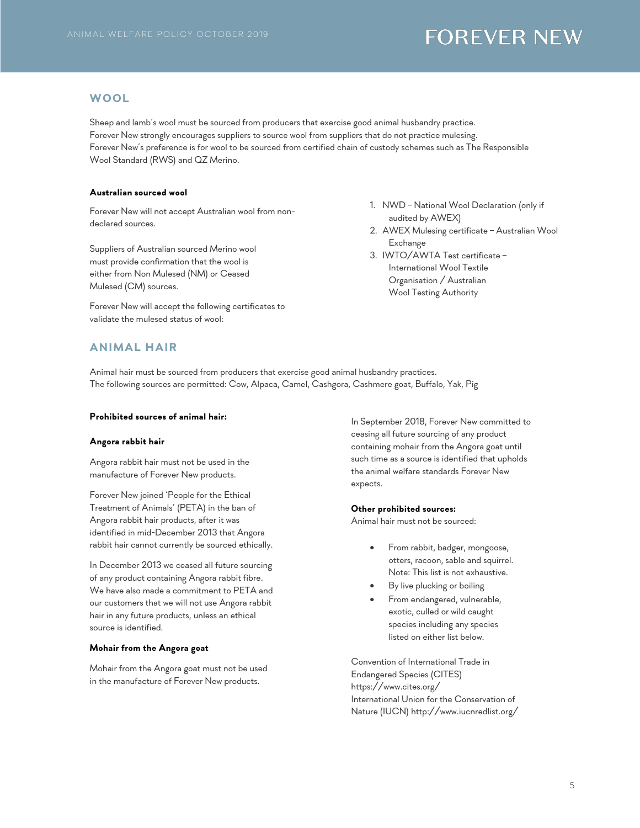#### **WOOL**

Sheep and lamb's wool must be sourced from producers that exercise good animal husbandry practice. Forever New strongly encourages suppliers to source wool from suppliers that do not practice mulesing. Forever New's preference is for wool to be sourced from certified chain of custody schemes such as The Responsible Wool Standard (RWS) and QZ Merino.

#### **Australian sourced wool**

Forever New will not accept Australian wool from nondeclared sources.

Suppliers of Australian sourced Merino wool must provide confirmation that the wool is either from Non Mulesed (NM) or Ceased Mulesed (CM) sources.

Forever New will accept the following certificates to validate the mulesed status of wool:

- 1. NWD National Wool Declaration (only if audited by AWEX)
- 2. AWEX Mulesing certificate Australian Wool Exchange
- 3. IWTO/AWTA Test certificate International Wool Textile Organisation / Australian Wool Testing Authority

### **ANIMAL HAIR**

Animal hair must be sourced from producers that exercise good animal husbandry practices. The following sources are permitted: Cow, Alpaca, Camel, Cashgora, Cashmere goat, Buffalo, Yak, Pig

#### **Prohibited sources of animal hair:**

#### **Angora rabbit hair**

Angora rabbit hair must not be used in the manufacture of Forever New products.

Forever New joined 'People for the Ethical Treatment of Animals' (PETA) in the ban of Angora rabbit hair products, after it was identified in mid-December 2013 that Angora rabbit hair cannot currently be sourced ethically.

In December 2013 we ceased all future sourcing of any product containing Angora rabbit fibre. We have also made a commitment to PETA and our customers that we will not use Angora rabbit hair in any future products, unless an ethical source is identified.

#### **Mohair from the Angora goat**

Mohair from the Angora goat must not be used in the manufacture of Forever New products.

In September 2018, Forever New committed to ceasing all future sourcing of any product containing mohair from the Angora goat until such time as a source is identified that upholds the animal welfare standards Forever New expects.

#### **Other prohibited sources:**

Animal hair must not be sourced:

- From rabbit, badger, mongoose, otters, racoon, sable and squirrel. Note: This list is not exhaustive.
- By live plucking or boiling
- From endangered, vulnerable, exotic, culled or wild caught species including any species listed on either list below.

Convention of International Trade in Endangered Species (CITES) https://www.cites.org/ International Union for the Conservation of Nature (IUCN) http://www.iucnredlist.org/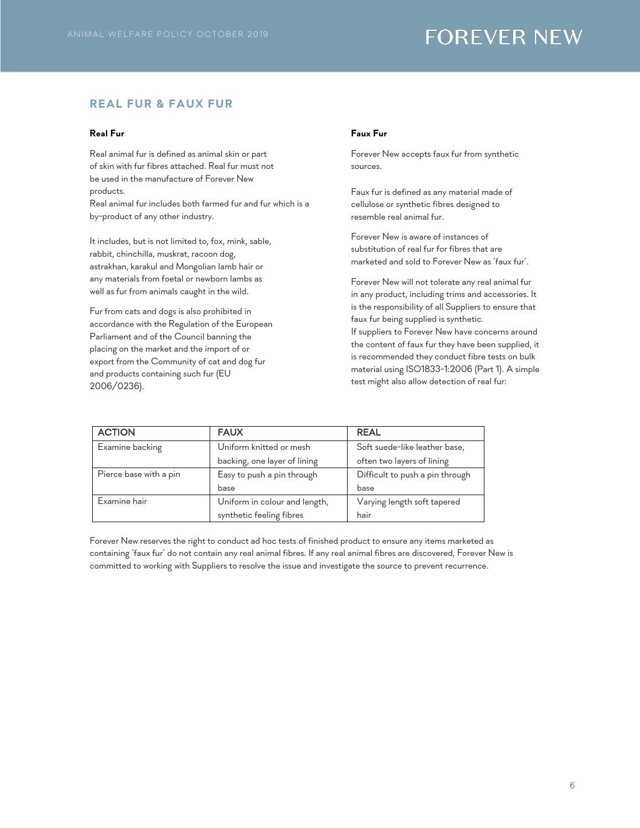# **REAL FUR & FAUX FUR**

#### **Real Fur**

Real animal fur is defined as animal skin or part of skin with fur fibres attached. Real fur must not be used in the manufacture of Forever New products.

Real animal fur includes both farmed fur and fur which is a by-product of any other industry.

It includes, but is not limited to, fox, mink, sable, rabbit, chinchilla, muskrat, racoon dog, astrakhan, karakul and Mongolian lamb hair or any materials from foetal or newborn lambs as well as fur from animals caught in the wild.

Fur from cats and dogs is also prohibited in accordance with the Regulation of the European Parliament and of the Council banning the placing on the market and the import of or export from the Community of cat and dog fur and products containing such fur (EU 2006/0236).

#### **Faux Fur**

Forever New accepts faux fur from synthetic sources.

Faux fur is defined as any material made of cellulose or synthetic fibres designed to resemble real animal fur.

Forever New is aware of instances of substitution of real fur for fibres that are marketed and sold to Forever New as 'faux fur'.

Forever New will not tolerate any real animal fur in any product, including trims and accessories. It is the responsibility of all Suppliers to ensure that faux fur being supplied is synthetic.

If suppliers to Forever New have concerns around the content of faux fur they have been supplied, it is recommended they conduct fibre tests on bulk material using ISO1833-1:2006 (Part 1). A simple test might also allow detection of real fur:

| <b>ACTION</b>          | <b>FAUX</b>                   | <b>REAL</b>                     |  |
|------------------------|-------------------------------|---------------------------------|--|
| Examine backing        | Uniform knitted or mesh       | Soft suede-like leather base,   |  |
|                        | backing, one layer of lining  | often two layers of lining      |  |
| Pierce base with a pin | Easy to push a pin through    | Difficult to push a pin through |  |
|                        | base                          | base                            |  |
| Examine hair           | Uniform in colour and length, | Varying length soft tapered     |  |
|                        | synthetic feeling fibres      | hair                            |  |

Forever New reserves the right to conduct ad hoc tests of finished product to ensure any items marketed as containing 'faux fur' do not contain any real animal fibres. If any real animal fibres are discovered, Forever New is committed to working with Suppliers to resolve the issue and investigate the source to prevent recurrence.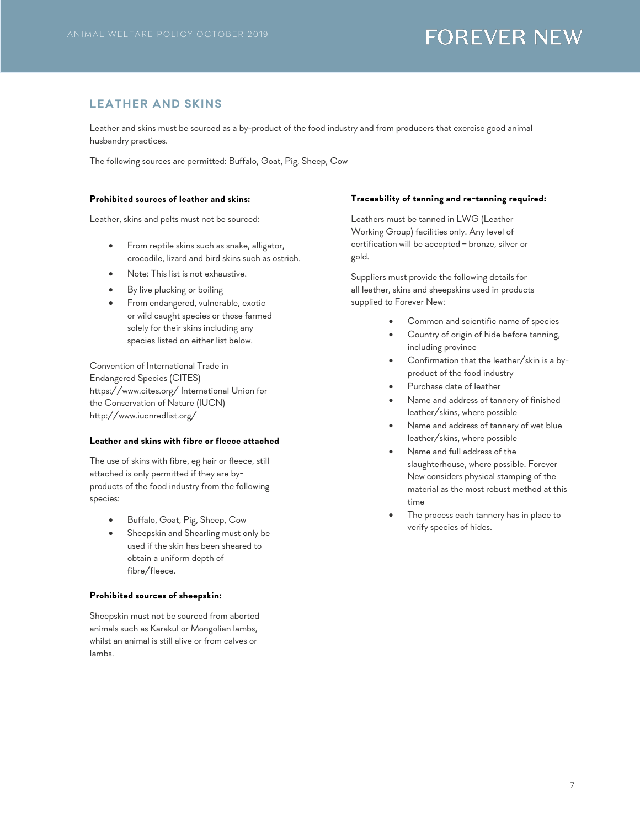# **LEATHER AND SKINS**

Leather and skins must be sourced as a by-product of the food industry and from producers that exercise good animal husbandry practices.

The following sources are permitted: Buffalo, Goat, Pig, Sheep, Cow

#### **Prohibited sources of leather and skins:**

Leather, skins and pelts must not be sourced:

- From reptile skins such as snake, alligator, crocodile, lizard and bird skins such as ostrich.
- Note: This list is not exhaustive.
- By live plucking or boiling
- From endangered, vulnerable, exotic or wild caught species or those farmed solely for their skins including any species listed on either list below.

Convention of International Trade in Endangered Species (CITES) https://www.cites.org/ International Union for the Conservation of Nature (IUCN) http://www.iucnredlist.org/

#### **Leather and skins with fibre or fleece attached**

The use of skins with fibre, eg hair or fleece, still attached is only permitted if they are byproducts of the food industry from the following species:

- Buffalo, Goat, Pig, Sheep, Cow
- Sheepskin and Shearling must only be used if the skin has been sheared to obtain a uniform depth of fibre/fleece.

#### **Prohibited sources of sheepskin:**

Sheepskin must not be sourced from aborted animals such as Karakul or Mongolian lambs, whilst an animal is still alive or from calves or lambs.

#### **Traceability of tanning and re-tanning required:**

Leathers must be tanned in LWG (Leather Working Group) facilities only. Any level of certification will be accepted – bronze, silver or gold.

Suppliers must provide the following details for all leather, skins and sheepskins used in products supplied to Forever New:

- Common and scientific name of species
- Country of origin of hide before tanning, including province
- Confirmation that the leather/skin is a byproduct of the food industry
- Purchase date of leather
- Name and address of tannery of finished leather/skins, where possible
- Name and address of tannery of wet blue leather/skins, where possible
- Name and full address of the slaughterhouse, where possible. Forever New considers physical stamping of the material as the most robust method at this time
- The process each tannery has in place to verify species of hides.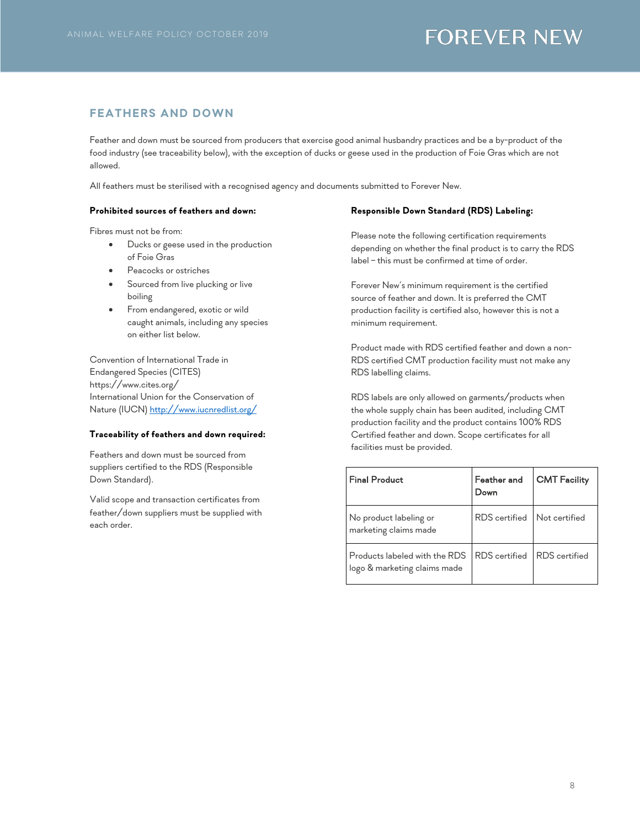## **FEATHERS AND DOWN**

Feather and down must be sourced from producers that exercise good animal husbandry practices and be a by-product of the food industry (see traceability below), with the exception of ducks or geese used in the production of Foie Gras which are not allowed.

All feathers must be sterilised with a recognised agency and documents submitted to Forever New.

#### **Prohibited sources of feathers and down:**

Fibres must not be from:

- Ducks or geese used in the production of Foie Gras
- Peacocks or ostriches
- Sourced from live plucking or live boiling
- From endangered, exotic or wild caught animals, including any species on either list below.

Convention of International Trade in Endangered Species (CITES) https://www.cites.org/ International Union for the Conservation of Nature (IUCN) http://www.iucnredlist.org/

#### **Traceability of feathers and down required:**

Feathers and down must be sourced from suppliers certified to the RDS (Responsible Down Standard).

Valid scope and transaction certificates from feather/down suppliers must be supplied with each order.

### **Responsible Down Standard (RDS) Labeling:**

Please note the following certification requirements depending on whether the final product is to carry the RDS label – this must be confirmed at time of order.

Forever New's minimum requirement is the certified source of feather and down. It is preferred the CMT production facility is certified also, however this is not a minimum requirement.

Product made with RDS certified feather and down a non-RDS certified CMT production facility must not make any RDS labelling claims.

RDS labels are only allowed on garments/products when the whole supply chain has been audited, including CMT production facility and the product contains 100% RDS Certified feather and down. Scope certificates for all facilities must be provided.

| <b>Final Product</b>                                          | Feather and<br>Down         | <b>CMT Facility</b> |
|---------------------------------------------------------------|-----------------------------|---------------------|
| No product labeling or<br>marketing claims made               | RDS certified Not certified |                     |
| Products labeled with the RDS<br>logo & marketing claims made | RDS certified RDS certified |                     |